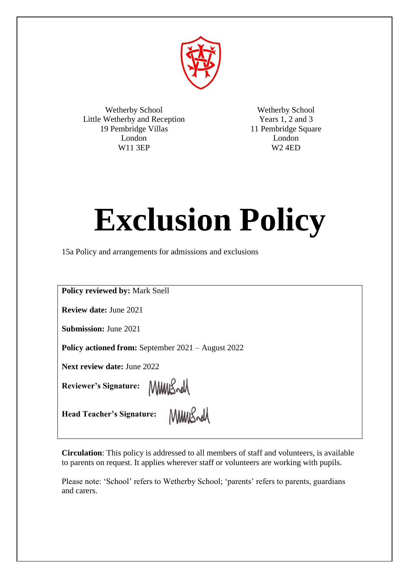

Wetherby School Little Wetherby and Reception 19 Pembridge Villas London W11 3EP

Wetherby School Years 1, 2 and 3 11 Pembridge Square London W2 4ED

# **Exclusion Policy**

15a Policy and arrangements for admissions and exclusions

**Policy reviewed by:** Mark Snell

**Review date:** June 2021

**Submission:** June 2021

**Policy actioned from:** September 2021 – August 2022

**Next review date:** June 2022

**Reviewer's Signature:** 

MMBrell

**Head Teacher's Signature:**

MMWSrd

**Circulation**: This policy is addressed to all members of staff and volunteers, is available to parents on request. It applies wherever staff or volunteers are working with pupils.

Please note: 'School' refers to Wetherby School; 'parents' refers to parents, guardians and carers.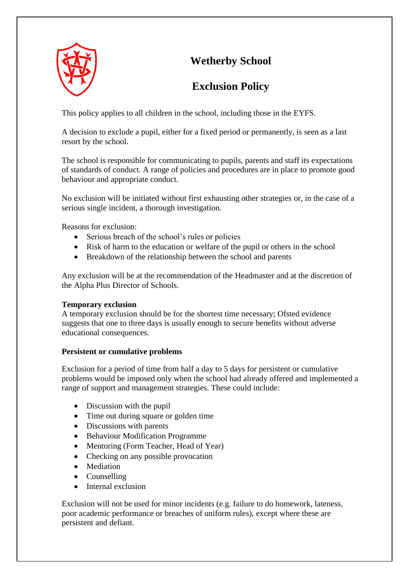



# **Exclusion Policy**

This policy applies to all children in the school, including those in the EYFS.

A decision to exclude a pupil, either for a fixed period or permanently, is seen as a last resort by the school.

The school is responsible for communicating to pupils, parents and staff its expectations of standards of conduct. A range of policies and procedures are in place to promote good behaviour and appropriate conduct.

No exclusion will be initiated without first exhausting other strategies or, in the case of a serious single incident, a thorough investigation.

Reasons for exclusion:

- Serious breach of the school's rules or policies
- Risk of harm to the education or welfare of the pupil or others in the school
- Breakdown of the relationship between the school and parents

Any exclusion will be at the recommendation of the Headmaster and at the discretion of the Alpha Plus Director of Schools.

# **Temporary exclusion**

A temporary exclusion should be for the shortest time necessary; Ofsted evidence suggests that one to three days is usually enough to secure benefits without adverse educational consequences.

# **Persistent or cumulative problems**

Exclusion for a period of time from half a day to 5 days for persistent or cumulative problems would be imposed only when the school had already offered and implemented a range of support and management strategies. These could include:

- Discussion with the pupil
- Time out during square or golden time
- Discussions with parents
- Behaviour Modification Programme
- Mentoring (Form Teacher, Head of Year)
- Checking on any possible provocation
- Mediation
- Counselling
- Internal exclusion

Exclusion will not be used for minor incidents (e.g. failure to do homework, lateness, poor academic performance or breaches of uniform rules), except where these are persistent and defiant.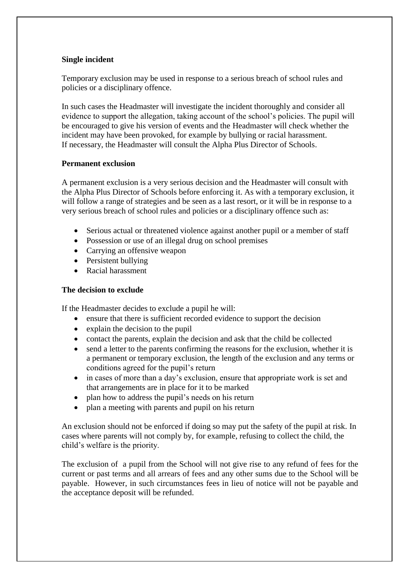# **Single incident**

Temporary exclusion may be used in response to a serious breach of school rules and policies or a disciplinary offence.

In such cases the Headmaster will investigate the incident thoroughly and consider all evidence to support the allegation, taking account of the school's policies. The pupil will be encouraged to give his version of events and the Headmaster will check whether the incident may have been provoked, for example by bullying or racial harassment. If necessary, the Headmaster will consult the Alpha Plus Director of Schools.

#### **Permanent exclusion**

A permanent exclusion is a very serious decision and the Headmaster will consult with the Alpha Plus Director of Schools before enforcing it. As with a temporary exclusion, it will follow a range of strategies and be seen as a last resort, or it will be in response to a very serious breach of school rules and policies or a disciplinary offence such as:

- Serious actual or threatened violence against another pupil or a member of staff
- Possession or use of an illegal drug on school premises
- Carrying an offensive weapon
- Persistent bullying
- Racial harassment

#### **The decision to exclude**

If the Headmaster decides to exclude a pupil he will:

- ensure that there is sufficient recorded evidence to support the decision
- explain the decision to the pupil
- contact the parents, explain the decision and ask that the child be collected
- send a letter to the parents confirming the reasons for the exclusion, whether it is a permanent or temporary exclusion, the length of the exclusion and any terms or conditions agreed for the pupil's return
- in cases of more than a day's exclusion, ensure that appropriate work is set and that arrangements are in place for it to be marked
- plan how to address the pupil's needs on his return
- plan a meeting with parents and pupil on his return

An exclusion should not be enforced if doing so may put the safety of the pupil at risk. In cases where parents will not comply by, for example, refusing to collect the child, the child's welfare is the priority.

The exclusion of a pupil from the School will not give rise to any refund of fees for the current or past terms and all arrears of fees and any other sums due to the School will be payable. However, in such circumstances fees in lieu of notice will not be payable and the acceptance deposit will be refunded.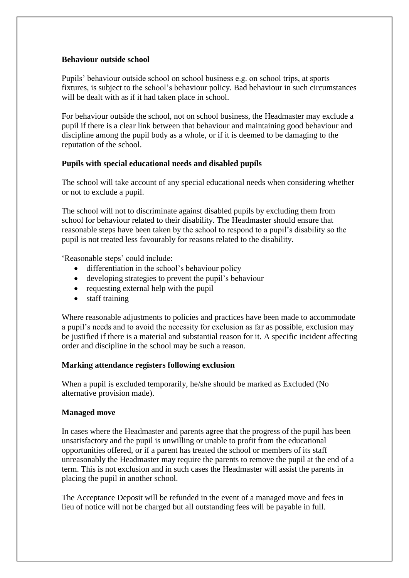# **Behaviour outside school**

Pupils' behaviour outside school on school business e.g. on school trips, at sports fixtures, is subject to the school's behaviour policy. Bad behaviour in such circumstances will be dealt with as if it had taken place in school.

For behaviour outside the school, not on school business, the Headmaster may exclude a pupil if there is a clear link between that behaviour and maintaining good behaviour and discipline among the pupil body as a whole, or if it is deemed to be damaging to the reputation of the school.

# **Pupils with special educational needs and disabled pupils**

The school will take account of any special educational needs when considering whether or not to exclude a pupil.

The school will not to discriminate against disabled pupils by excluding them from school for behaviour related to their disability. The Headmaster should ensure that reasonable steps have been taken by the school to respond to a pupil's disability so the pupil is not treated less favourably for reasons related to the disability.

'Reasonable steps' could include:

- differentiation in the school's behaviour policy
- developing strategies to prevent the pupil's behaviour
- requesting external help with the pupil
- staff training

Where reasonable adjustments to policies and practices have been made to accommodate a pupil's needs and to avoid the necessity for exclusion as far as possible, exclusion may be justified if there is a material and substantial reason for it. A specific incident affecting order and discipline in the school may be such a reason.

#### **Marking attendance registers following exclusion**

When a pupil is excluded temporarily, he/she should be marked as Excluded (No alternative provision made).

#### **Managed move**

In cases where the Headmaster and parents agree that the progress of the pupil has been unsatisfactory and the pupil is unwilling or unable to profit from the educational opportunities offered, or if a parent has treated the school or members of its staff unreasonably the Headmaster may require the parents to remove the pupil at the end of a term. This is not exclusion and in such cases the Headmaster will assist the parents in placing the pupil in another school.

The Acceptance Deposit will be refunded in the event of a managed move and fees in lieu of notice will not be charged but all outstanding fees will be payable in full.